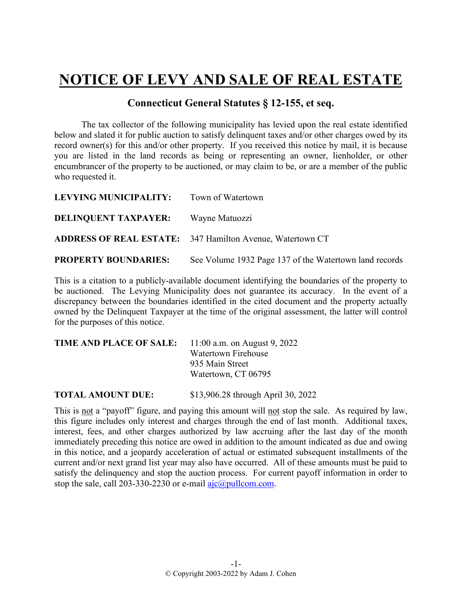## **NOTICE OF LEVY AND SALE OF REAL ESTATE**

## **Connecticut General Statutes § 12-155, et seq.**

The tax collector of the following municipality has levied upon the real estate identified below and slated it for public auction to satisfy delinquent taxes and/or other charges owed by its record owner(s) for this and/or other property. If you received this notice by mail, it is because you are listed in the land records as being or representing an owner, lienholder, or other encumbrancer of the property to be auctioned, or may claim to be, or are a member of the public who requested it.

| LEVYING MUNICIPALITY:       | Town of Watertown                                                |
|-----------------------------|------------------------------------------------------------------|
| <b>DELINQUENT TAXPAYER:</b> | Wayne Matuozzi                                                   |
|                             | <b>ADDRESS OF REAL ESTATE:</b> 347 Hamilton Avenue, Watertown CT |
| <b>PROPERTY BOUNDARIES:</b> | See Volume 1932 Page 137 of the Watertown land records           |

This is a citation to a publicly-available document identifying the boundaries of the property to be auctioned. The Levying Municipality does not guarantee its accuracy. In the event of a discrepancy between the boundaries identified in the cited document and the property actually owned by the Delinquent Taxpayer at the time of the original assessment, the latter will control for the purposes of this notice.

| TIME AND PLACE OF SALE: | 11:00 a.m. on August 9, 2022 |
|-------------------------|------------------------------|
|                         | Watertown Firehouse          |
|                         | 935 Main Street              |
|                         | Watertown, CT 06795          |
|                         |                              |

**TOTAL AMOUNT DUE:** \$13,906.28 through April 30, 2022

This is not a "payoff" figure, and paying this amount will not stop the sale. As required by law, this figure includes only interest and charges through the end of last month. Additional taxes, interest, fees, and other charges authorized by law accruing after the last day of the month immediately preceding this notice are owed in addition to the amount indicated as due and owing in this notice, and a jeopardy acceleration of actual or estimated subsequent installments of the current and/or next grand list year may also have occurred. All of these amounts must be paid to satisfy the delinquency and stop the auction process. For current payoff information in order to stop the sale, call 203-330-2230 or e-mail  $a$ jc $@p$ ullcom.com.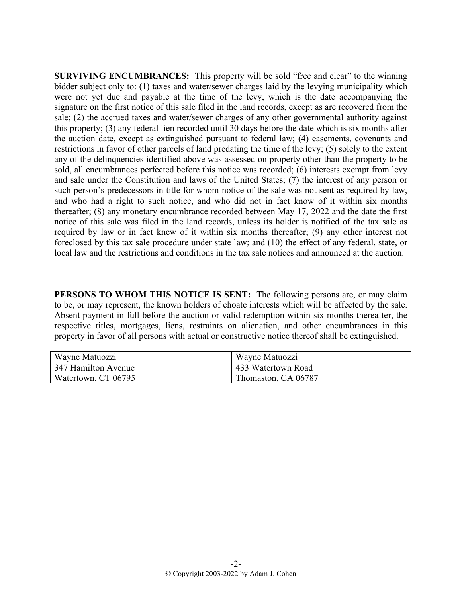**SURVIVING ENCUMBRANCES:** This property will be sold "free and clear" to the winning bidder subject only to: (1) taxes and water/sewer charges laid by the levying municipality which were not yet due and payable at the time of the levy, which is the date accompanying the signature on the first notice of this sale filed in the land records, except as are recovered from the sale; (2) the accrued taxes and water/sewer charges of any other governmental authority against this property; (3) any federal lien recorded until 30 days before the date which is six months after the auction date, except as extinguished pursuant to federal law; (4) easements, covenants and restrictions in favor of other parcels of land predating the time of the levy; (5) solely to the extent any of the delinquencies identified above was assessed on property other than the property to be sold, all encumbrances perfected before this notice was recorded; (6) interests exempt from levy and sale under the Constitution and laws of the United States; (7) the interest of any person or such person's predecessors in title for whom notice of the sale was not sent as required by law, and who had a right to such notice, and who did not in fact know of it within six months thereafter; (8) any monetary encumbrance recorded between May 17, 2022 and the date the first notice of this sale was filed in the land records, unless its holder is notified of the tax sale as required by law or in fact knew of it within six months thereafter; (9) any other interest not foreclosed by this tax sale procedure under state law; and (10) the effect of any federal, state, or local law and the restrictions and conditions in the tax sale notices and announced at the auction.

**PERSONS TO WHOM THIS NOTICE IS SENT:** The following persons are, or may claim to be, or may represent, the known holders of choate interests which will be affected by the sale. Absent payment in full before the auction or valid redemption within six months thereafter, the respective titles, mortgages, liens, restraints on alienation, and other encumbrances in this property in favor of all persons with actual or constructive notice thereof shall be extinguished.

| Wayne Matuozzi      | Wayne Matuozzi      |
|---------------------|---------------------|
| 347 Hamilton Avenue | 433 Watertown Road  |
| Watertown, CT 06795 | Thomaston, CA 06787 |